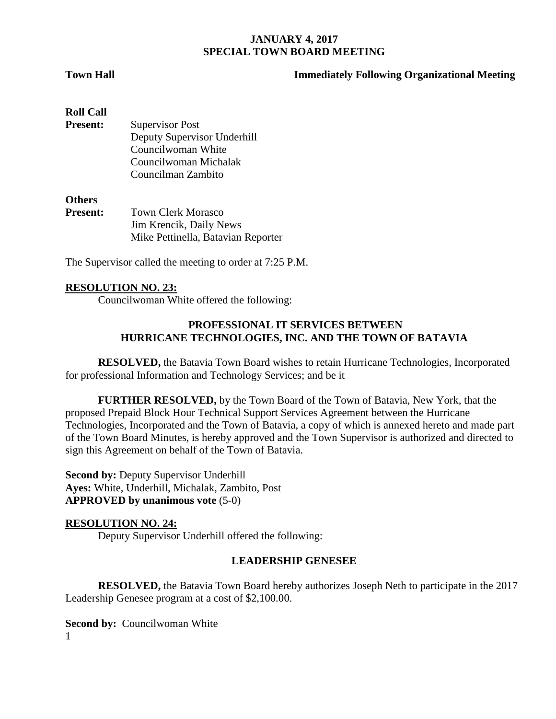## **Town Hall Immediately Following Organizational Meeting**

| <b>Roll Call</b> |                             |
|------------------|-----------------------------|
| <b>Present:</b>  | <b>Supervisor Post</b>      |
|                  | Deputy Supervisor Underhill |
|                  | Councilwoman White          |
|                  | Councilwoman Michalak       |
|                  | Councilman Zambito          |
|                  |                             |
|                  |                             |

# **Others**

| <b>Present:</b> | <b>Town Clerk Morasco</b>          |
|-----------------|------------------------------------|
|                 | Jim Krencik, Daily News            |
|                 | Mike Pettinella, Batavian Reporter |
|                 |                                    |

The Supervisor called the meeting to order at 7:25 P.M.

#### **RESOLUTION NO. 23:**

Councilwoman White offered the following:

#### **PROFESSIONAL IT SERVICES BETWEEN HURRICANE TECHNOLOGIES, INC. AND THE TOWN OF BATAVIA**

**RESOLVED,** the Batavia Town Board wishes to retain Hurricane Technologies, Incorporated for professional Information and Technology Services; and be it

**FURTHER RESOLVED,** by the Town Board of the Town of Batavia, New York, that the proposed Prepaid Block Hour Technical Support Services Agreement between the Hurricane Technologies, Incorporated and the Town of Batavia, a copy of which is annexed hereto and made part of the Town Board Minutes, is hereby approved and the Town Supervisor is authorized and directed to sign this Agreement on behalf of the Town of Batavia.

**Second by:** Deputy Supervisor Underhill **Ayes:** White, Underhill, Michalak, Zambito, Post **APPROVED by unanimous vote** (5-0)

#### **RESOLUTION NO. 24:**

Deputy Supervisor Underhill offered the following:

#### **LEADERSHIP GENESEE**

**RESOLVED,** the Batavia Town Board hereby authorizes Joseph Neth to participate in the 2017 Leadership Genesee program at a cost of \$2,100.00.

1 **Second by:** Councilwoman White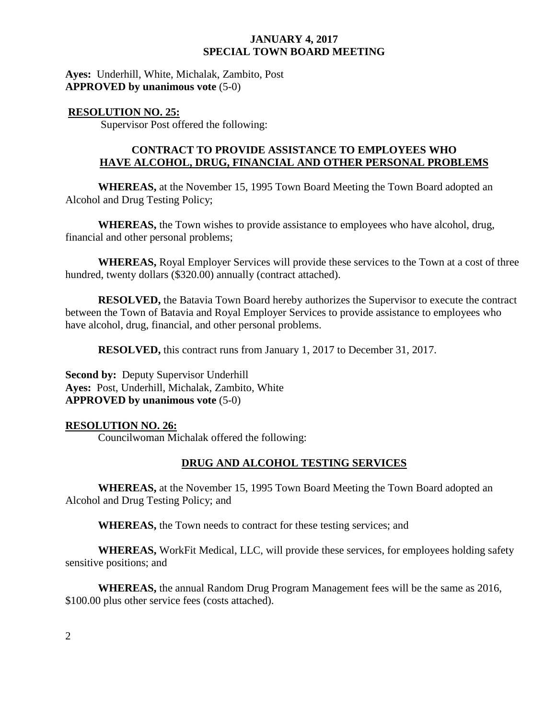**Ayes:** Underhill, White, Michalak, Zambito, Post **APPROVED by unanimous vote** (5-0)

#### **RESOLUTION NO. 25:**

Supervisor Post offered the following:

## **CONTRACT TO PROVIDE ASSISTANCE TO EMPLOYEES WHO HAVE ALCOHOL, DRUG, FINANCIAL AND OTHER PERSONAL PROBLEMS**

**WHEREAS,** at the November 15, 1995 Town Board Meeting the Town Board adopted an Alcohol and Drug Testing Policy;

**WHEREAS,** the Town wishes to provide assistance to employees who have alcohol, drug, financial and other personal problems;

**WHEREAS,** Royal Employer Services will provide these services to the Town at a cost of three hundred, twenty dollars (\$320.00) annually (contract attached).

**RESOLVED,** the Batavia Town Board hereby authorizes the Supervisor to execute the contract between the Town of Batavia and Royal Employer Services to provide assistance to employees who have alcohol, drug, financial, and other personal problems.

**RESOLVED,** this contract runs from January 1, 2017 to December 31, 2017.

**Second by:** Deputy Supervisor Underhill **Ayes:** Post, Underhill, Michalak, Zambito, White **APPROVED by unanimous vote** (5-0)

# **RESOLUTION NO. 26:**

Councilwoman Michalak offered the following:

# **DRUG AND ALCOHOL TESTING SERVICES**

**WHEREAS,** at the November 15, 1995 Town Board Meeting the Town Board adopted an Alcohol and Drug Testing Policy; and

**WHEREAS,** the Town needs to contract for these testing services; and

**WHEREAS,** WorkFit Medical, LLC, will provide these services, for employees holding safety sensitive positions; and

**WHEREAS,** the annual Random Drug Program Management fees will be the same as 2016, \$100.00 plus other service fees (costs attached).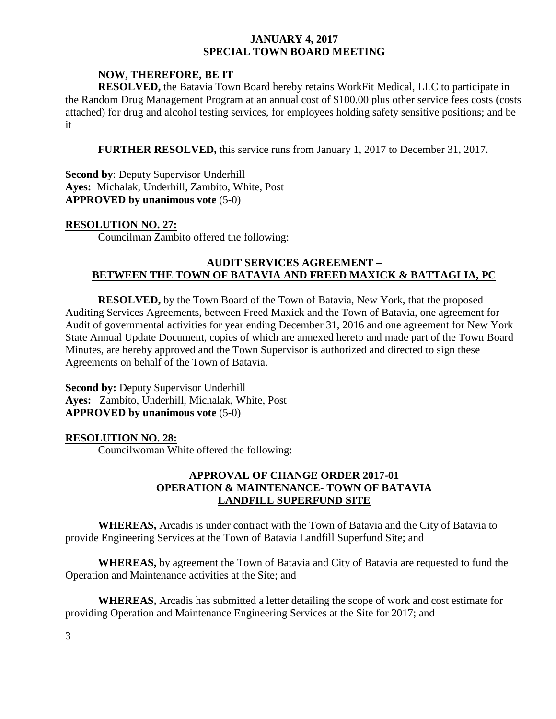## **NOW, THEREFORE, BE IT**

**RESOLVED,** the Batavia Town Board hereby retains WorkFit Medical, LLC to participate in the Random Drug Management Program at an annual cost of \$100.00 plus other service fees costs (costs attached) for drug and alcohol testing services, for employees holding safety sensitive positions; and be it

**FURTHER RESOLVED,** this service runs from January 1, 2017 to December 31, 2017.

**Second by**: Deputy Supervisor Underhill **Ayes:** Michalak, Underhill, Zambito, White, Post **APPROVED by unanimous vote** (5-0)

#### **RESOLUTION NO. 27:**

Councilman Zambito offered the following:

## **AUDIT SERVICES AGREEMENT – BETWEEN THE TOWN OF BATAVIA AND FREED MAXICK & BATTAGLIA, PC**

**RESOLVED,** by the Town Board of the Town of Batavia, New York, that the proposed Auditing Services Agreements, between Freed Maxick and the Town of Batavia, one agreement for Audit of governmental activities for year ending December 31, 2016 and one agreement for New York State Annual Update Document, copies of which are annexed hereto and made part of the Town Board Minutes, are hereby approved and the Town Supervisor is authorized and directed to sign these Agreements on behalf of the Town of Batavia.

**Second by:** Deputy Supervisor Underhill **Ayes:** Zambito, Underhill, Michalak, White, Post **APPROVED by unanimous vote** (5-0)

#### **RESOLUTION NO. 28:**

Councilwoman White offered the following:

## **APPROVAL OF CHANGE ORDER 2017-01 OPERATION & MAINTENANCE- TOWN OF BATAVIA LANDFILL SUPERFUND SITE**

**WHEREAS,** Arcadis is under contract with the Town of Batavia and the City of Batavia to provide Engineering Services at the Town of Batavia Landfill Superfund Site; and

**WHEREAS,** by agreement the Town of Batavia and City of Batavia are requested to fund the Operation and Maintenance activities at the Site; and

**WHEREAS,** Arcadis has submitted a letter detailing the scope of work and cost estimate for providing Operation and Maintenance Engineering Services at the Site for 2017; and